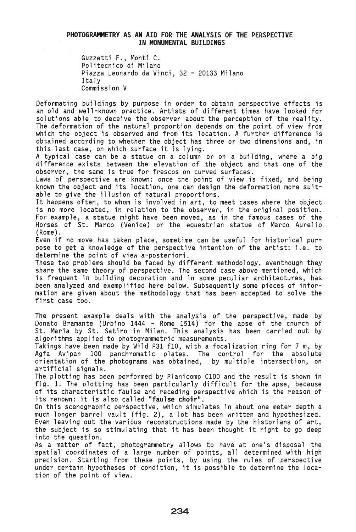## PHOTOGRAMMETRY AS AN AID FOR THE ANALYSIS OF THE PERSPECTIVE IN MONUMENTAL BUILDINGS

Guzzetti F., Monti C. Politecnico di Milano Piazza Leonardo da Vinci, 32 - 20133 Milano Italy Commission V

Deformating buildings by purpose in order to obtain perspective effects is an old and well-known practice. Artists of different times have looked for solutions able to deceive the observer about the perception of the reality. The deformation of the natural proportion depends on the point of view from which the object is observed and from its location. A further difference is obtained according to whether the object has three or two dimensions and, in this last case, on which surface it is lying.

A typical case can be a statue on a column or on a building, where a big difference exists between the elevation of the object and that one of the observer, the same is true for frescos on curved surfaces.

Laws of perspective are known: once the point of view is fixed, and being known the object and its location, one can design the deformation more suitable to give the illusion of natural proportions.

It happens often, to whom is involved in art, to meet cases where the object is no more located, in relation to the observer, in the original position. For example, a statue might have been moved, as in the famous cases of the Horses of St. Marco (Venice) or the equestrian statue of Marco Aurelio (Rome).<br>Even if no move has taken place, sometime can be useful for historical pur-

pose to get a knowledge of the perspective intention of the artist: i.e. to determine the point of view a-posteriori.

These two problems should be faced by different methodology, eventhough they share the same theory of perspective. The second case above mentioned, which is frequent in building decoration and in some peculiar architectures, has been analyzed and exemplified here below. Subsequently some pieces of information are given about the methodology that has been accepted to solve the first case too.

The present example deals with the analysis of the perspective, made by Donato Bramante (Urbino 1444 - Rome 1514) for the apse of the church of St. Maria by St. Satiro in Milan. This analysis has been carried out by algorithms applied to photogrammetric measurements.

Takings have been made by Wild P31 flO, with a focalization ring for 7 m, by Agfa Avipan 100 panchromatic plates. The control for the absolute orientation of the photograms was obtained, by multiple intersection, on artificial signals.

The plotting has been performed by Planicomp ClOD and the result is shown in fig. 1. The plotting has been particularly difficult for the apse, because of its characteristic faulse and receding perspective which is the reason of its renown: it is also called "faulse choir".

On this scenographic perspective, which simulates in about one meter depth a much longer barrel vault (fig. 2), a lot has been written and hypothesized. Even leaving out the various reconstructions made by the historians of art, the subject is so stimulating that it has been thought it right to go deep into the question.

As a matter of fact, photogrammetry allows to have at one's disposal the spatial coordinates of a large number of points, all determined with high precision. Starting from these points, by using the rules of perspective under certain hypotheses of condition, it is possible to determine the location of the point of view.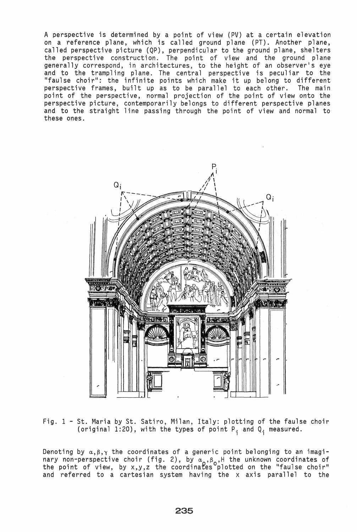A perspective is determined by a point of view (PV) at a certain elevation on a reference plane, which is called ground plane (PT). Another plane, called perspective picture (QP), perpendicular to the ground plane, shelters the perspective construction. The point of view and the ground plane generally correspond, in architectures, to the height of an observer's eye and to the trampling plane. The central perspective is peculiar to the "faulse choir": the infinite points which make it up belong to different perspective frames, built up as to be parallel to each other. The main point of the perspective, normal projection of the point of view onto the perspective picture, contemporarily belongs to different perspective planes and to the straight line passing through the point of view and normal to these ones.



Fig. 1 - St. Maria by St. Satiro, Milan, Italy: plotting of the faulse choir (original 1:20), with the types of point  $P_i$  and  $Q_i$  measured.

Denoting by  $\alpha,\beta,\gamma$  the coordinates of a generic point belonging to an imaginary non-perspective choir (fig. 2), by  $\alpha_{\alpha}$ , $\beta_{\alpha}$ ,H the unknown coordinates of the point of view, by x,y,z the coordinates plotted on the "faulse choir" and referred to a cartesian system having the x axis parallel to the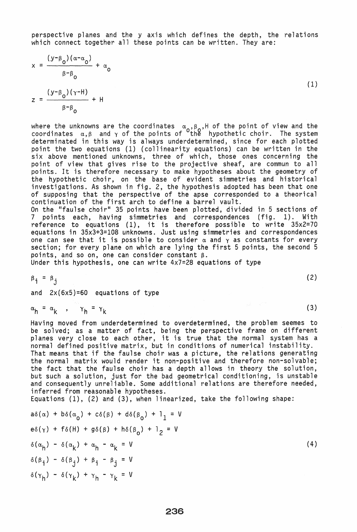perspective planes and the y axis which defines the depth, the relations which connect together all these points can be written. They are:

$$
x = \frac{(y - \beta_0)(\alpha - \alpha_0)}{\beta - \beta_0} + \alpha_0
$$
  

$$
z = \frac{(y - \beta_0)(\gamma - H)}{\beta - \beta_0} + H
$$
 (1)

where the unknowns are the coordinates  $\alpha_{\alpha}$ ,  $\beta_{\alpha}$ , H of the point of view and the coordinates  $\alpha,\beta$  and  $\gamma$  of the points of  $^{\circ}$ the hypothetic choir. The system determinated in this way is always underdetermined, since for each plotted point the two equations (1) (collinearity equations) can be written in the six above mentioned unknowns, three of which, those ones concerning the point of view that gives rise to the projective sheaf, are commun to all points. It is therefore necessary to make hypotheses about the geometry of the hypothetic choir, on the base of evident simmetries and historical investigations. As shown in fig. 2, the hypothesis adopted has been that one of supposing that the perspective of the apse corresponded to a theorical continuation of the first arch to define a barrel vault.

On the "faulse choir" 35 points have been plotted, divided in 5 sections of 7 points each, having simmetries and correspondences (fig. 1). With reference to equations (1), it is therefore possible to write 35x2=70 equations in 35x3+3=108 unknowns. Just using simmetries and correspondences one can see that it is possible to consider  $\alpha$  and  $\gamma$  as constants for every section; for every plane on which are lying the first 5 points, the second 5 points, and so on, one can consider constant  $\beta$ .

Under this hypothesis, one can write 4x7=28 equations of type

$$
\beta_{\dot{1}} = \beta_{\dot{1}} \tag{2}
$$

and  $2x(6x5)=60$  equations of type

$$
\alpha_h = \alpha_k
$$
,  $\gamma_h = \gamma_k$ 

Having moved from underdetermined to overdetermined, the problem seemes to be solved; as a matter of fact, being the perspective frame on different planes very close to each other, it is true that the normal system has a normal defined positive matrix, but in conditions of numerical instability. That means that if the faulse choir was a picture, the relations generating the normal matrix would render it non-positive and therefore non-solvable; the fact that the faulse choir has a depth allows in theory the solution, but such a solution, just for the bad geometrical conditioning, is unstable and consequently unreliable. Some additional relations are therefore needed, inferred from reasonable hypotheses.

(3)

Equations (1), (2) and (3), when linearized, take the following shape:

$$
a\delta(\alpha) + b\delta(\alpha_0) + c\delta(\beta) + d\delta(\beta_0) + 1_1 = V
$$
  
\n
$$
e\delta(\gamma) + f\delta(H) + g\delta(\beta) + h\delta(\beta_0) + 1_2 = V
$$
  
\n
$$
\delta(\alpha_h) - \delta(\alpha_k) + \alpha_h - \alpha_k = V
$$
  
\n
$$
\delta(\beta_i) - \delta(\beta_j) + \beta_i - \beta_j = V
$$
  
\n
$$
\delta(\gamma_h) - \delta(\gamma_k) + \gamma_h - \gamma_k = V
$$
  
\n(4)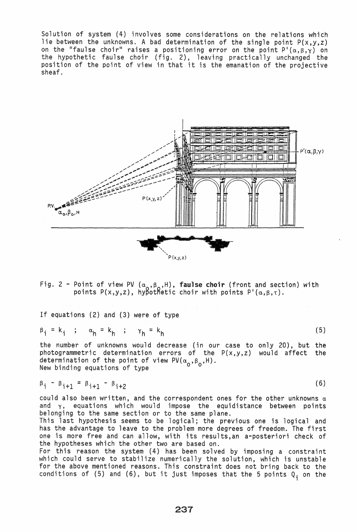Solution of system (4) involves some considerations on the relations which lie between the unknowns. A bad determination of the single point  $P(x,y,z)$ on the "faulse choir" raises a positioning error on the point  $P'(\alpha,\beta,\gamma)$  on the hypothetic faulse choir (fig. 2), leaving practically unchanged the position of the point of view in that it is the emanation of the projective sheaf.



Fig. 2 - Point of view PV ( $\alpha_{\alpha},\beta_{\alpha},H$ ), faulse choir (front and section) with points P(x,y,z), hypothetic choir with points P'( $\alpha,\beta,\tau$ ).

If equations (2) and (3) were of type

$$
\beta_{i} = k_{i} \quad ; \quad \alpha_{h} = k_{h} \quad ; \quad \gamma_{h} = k_{h} \tag{5}
$$

the number of unknowns would decrease (in our case to only 20), but the photogrammetric determination errors of the P(x,y,z) would affect the determination of the point of view PV( $\alpha_0$ , $\beta_0$ ,H). New binding equations of type

$$
\beta_{\mathbf{i}} - \beta_{\mathbf{i}+1} = \beta_{\mathbf{i}+1} - \beta_{\mathbf{i}+2}
$$

could also been written, and the correspondent ones for the other unknowns  $\alpha$ and  $\gamma$ , equations which would impose the equidistance between points belonging to the same section or to the same plane.

(6)

This last hypothesis seems to be logical; the previous one is logical and has the advantage to leave to the problem more degrees of freedom. The first one is more free and can allow, with its results,an a-posteriori check of the hypotheses which the other two are based on.

For this reason the system (4) has been solved by imposing a constraint which could serve to stabilize numerically the solution, which is unstable for the above mentioned reasons. This constraint does not bring back to the conditions of (5) and (6), but it just imposes that the 5 points  $Q_i$  on the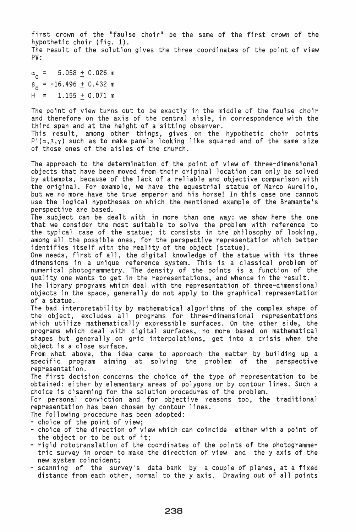first crown of the "faulse choir" be the same of the first crown of the hypothetic choir (fig. 1). The result of the solution gives the three coordinates of the point of view PV:

 $\alpha_{0}$  = 5.058  $\pm$  0.026 m  $\beta_0$  = -16.496  $\pm$  0.432 m  $H = 1.155 + 0.071$  m

The point of view turns out to be exactly in the middle of the faulse choir and therefore on the axis of the central aisle, in correspondence with the third span and at the height of a sitting observer.

This result, among other things, gives on the hypothetic choir points  $P'(\alpha,\beta,\gamma)$  such as to make panels looking like squared and of the same size of those ones of the aisles of the church.

The approach to the determination of the point of view of three-dimensional objects that have been moved from their original location can only be solved by attempts, because of the lack of a reliable and objective comparison with the original. For example, we have the equestrial statue of Marco Aurelio, but we no more have the true emperor and his horse! In this case one cannot use the logical hypotheses on which the mentioned example of the Bramante's perspective are based.

The subject can be dealt with in more than one way: we show here the one that we consider the most suitable to solve the problem with reference to the typical case of the statue; it consists in the philosophy of looking, among all the possible ones, for the perspective representation which better identifies itself with the reality of the object (statue).

One needs, first of all, the digital knowledge of the statue with its three dimensions in a unique reference system. This is a classical problem of numerical photogrammetry. The density of the points is a function of the quality one wants to get in the representations, and whence in the result. The library programs which deal with the representation of three-dimensional

objects in the space, generally do not apply to the graphical representation of a statue.

The bad interpretability by mathematical algorithms of the complex shape of the object, excludes all programs for three-dimensional representations which utilize mathematically expressible surfaces. On the other side, the programs which deal with digital surfaces, no more based on mathematical shapes but generally on grid interpolations, get into a crisis when the object is a close surface.

From what above, the idea came to approach the matter by building up a specific program aiming at solving the problem of the perspective representation.

The first decision concerns the choice of the type of representation to be obtained: either by elementary areas of polygons or by contour lines. Such a choice is disarming for the solution procedures of the problem.

For personal conviction and for objective reasons too, the traditional representation has been chosen by contour lines.

- 
- The following procedure has been adopted:<br>- choice of the point of view;<br>- choice of the direction of view which can coincide either with a point of
- the object or to be out of it;<br>- rigid rototranslation of the coordinates of the points of the photogrammetric survey in order to make the direction of view and the y axis of the new system coincident; - scanning of the survey's data bank by a couple of planes, at a fixed
- distance from each other, normal to the y axis. Drawing out of all points